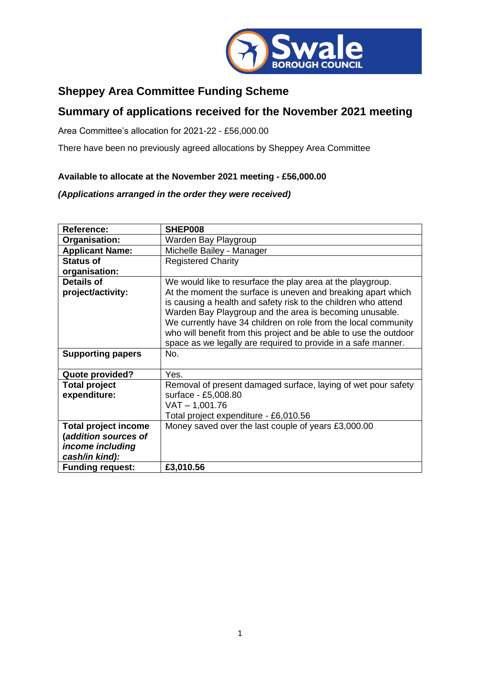

## **Sheppey Area Committee Funding Scheme**

## **Summary of applications received for the November 2021 meeting**

Area Committee's allocation for 2021-22 - £56,000.00

There have been no previously agreed allocations by Sheppey Area Committee

## **Available to allocate at the November 2021 meeting - £56,000.00**

## *(Applications arranged in the order they were received)*

| <b>Reference:</b>                    | SHEP008                                                                                                                                                                                                                                                                                                                                                                                           |
|--------------------------------------|---------------------------------------------------------------------------------------------------------------------------------------------------------------------------------------------------------------------------------------------------------------------------------------------------------------------------------------------------------------------------------------------------|
| Organisation:                        | Warden Bay Playgroup                                                                                                                                                                                                                                                                                                                                                                              |
| <b>Applicant Name:</b>               | Michelle Bailey - Manager                                                                                                                                                                                                                                                                                                                                                                         |
| <b>Status of</b>                     | <b>Registered Charity</b>                                                                                                                                                                                                                                                                                                                                                                         |
| organisation:                        |                                                                                                                                                                                                                                                                                                                                                                                                   |
| <b>Details of</b>                    | We would like to resurface the play area at the playgroup.                                                                                                                                                                                                                                                                                                                                        |
| project/activity:                    | At the moment the surface is uneven and breaking apart which<br>is causing a health and safety risk to the children who attend<br>Warden Bay Playgroup and the area is becoming unusable.<br>We currently have 34 children on role from the local community<br>who will benefit from this project and be able to use the outdoor<br>space as we legally are required to provide in a safe manner. |
| <b>Supporting papers</b>             | No.                                                                                                                                                                                                                                                                                                                                                                                               |
| Quote provided?                      | Yes.                                                                                                                                                                                                                                                                                                                                                                                              |
| <b>Total project</b><br>expenditure: | Removal of present damaged surface, laying of wet pour safety<br>surface - £5,008.80<br>$VAT - 1,001.76$<br>Total project expenditure - £6,010.56                                                                                                                                                                                                                                                 |
| <b>Total project income</b>          | Money saved over the last couple of years £3,000.00                                                                                                                                                                                                                                                                                                                                               |
| (addition sources of                 |                                                                                                                                                                                                                                                                                                                                                                                                   |
| income including                     |                                                                                                                                                                                                                                                                                                                                                                                                   |
| cash/in kind):                       |                                                                                                                                                                                                                                                                                                                                                                                                   |
| <b>Funding request:</b>              | £3,010.56                                                                                                                                                                                                                                                                                                                                                                                         |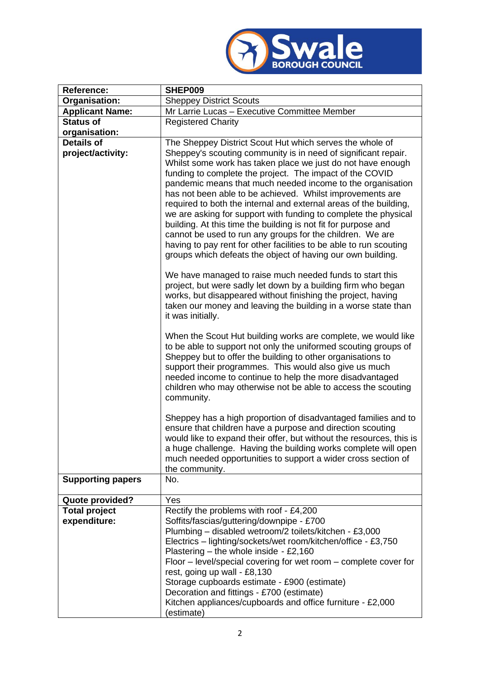

| <b>Reference:</b>                      | SHEP009                                                                                                                                                                                                                                                                                                                                                                                                                                                                                                                                                                                                                                                                                                                                                                                                                                                                                                                   |
|----------------------------------------|---------------------------------------------------------------------------------------------------------------------------------------------------------------------------------------------------------------------------------------------------------------------------------------------------------------------------------------------------------------------------------------------------------------------------------------------------------------------------------------------------------------------------------------------------------------------------------------------------------------------------------------------------------------------------------------------------------------------------------------------------------------------------------------------------------------------------------------------------------------------------------------------------------------------------|
| Organisation:                          | <b>Sheppey District Scouts</b>                                                                                                                                                                                                                                                                                                                                                                                                                                                                                                                                                                                                                                                                                                                                                                                                                                                                                            |
| <b>Applicant Name:</b>                 | Mr Larrie Lucas - Executive Committee Member                                                                                                                                                                                                                                                                                                                                                                                                                                                                                                                                                                                                                                                                                                                                                                                                                                                                              |
| <b>Status of</b>                       | <b>Registered Charity</b>                                                                                                                                                                                                                                                                                                                                                                                                                                                                                                                                                                                                                                                                                                                                                                                                                                                                                                 |
| organisation:                          |                                                                                                                                                                                                                                                                                                                                                                                                                                                                                                                                                                                                                                                                                                                                                                                                                                                                                                                           |
| <b>Details of</b><br>project/activity: | The Sheppey District Scout Hut which serves the whole of<br>Sheppey's scouting community is in need of significant repair.<br>Whilst some work has taken place we just do not have enough<br>funding to complete the project. The impact of the COVID<br>pandemic means that much needed income to the organisation<br>has not been able to be achieved. Whilst improvements are<br>required to both the internal and external areas of the building,<br>we are asking for support with funding to complete the physical<br>building. At this time the building is not fit for purpose and<br>cannot be used to run any groups for the children. We are<br>having to pay rent for other facilities to be able to run scouting<br>groups which defeats the object of having our own building.<br>We have managed to raise much needed funds to start this<br>project, but were sadly let down by a building firm who began |
|                                        | works, but disappeared without finishing the project, having<br>taken our money and leaving the building in a worse state than<br>it was initially.<br>When the Scout Hut building works are complete, we would like<br>to be able to support not only the uniformed scouting groups of<br>Sheppey but to offer the building to other organisations to<br>support their programmes. This would also give us much<br>needed income to continue to help the more disadvantaged                                                                                                                                                                                                                                                                                                                                                                                                                                              |
|                                        | children who may otherwise not be able to access the scouting<br>community.<br>Sheppey has a high proportion of disadvantaged families and to<br>ensure that children have a purpose and direction scouting<br>would like to expand their offer, but without the resources, this is<br>a huge challenge. Having the building works complete will open<br>much needed opportunities to support a wider cross section of<br>the community.                                                                                                                                                                                                                                                                                                                                                                                                                                                                                  |
| <b>Supporting papers</b>               | No.                                                                                                                                                                                                                                                                                                                                                                                                                                                                                                                                                                                                                                                                                                                                                                                                                                                                                                                       |
| Quote provided?                        | Yes                                                                                                                                                                                                                                                                                                                                                                                                                                                                                                                                                                                                                                                                                                                                                                                                                                                                                                                       |
| <b>Total project</b><br>expenditure:   | Rectify the problems with roof - £4,200<br>Soffits/fascias/guttering/downpipe - £700<br>Plumbing - disabled wetroom/2 toilets/kitchen - £3,000<br>Electrics - lighting/sockets/wet room/kitchen/office - £3,750<br>Plastering - the whole inside - £2,160<br>Floor – level/special covering for wet room – complete cover for<br>rest, going up wall - £8,130<br>Storage cupboards estimate - £900 (estimate)<br>Decoration and fittings - £700 (estimate)<br>Kitchen appliances/cupboards and office furniture - £2,000<br>(estimate)                                                                                                                                                                                                                                                                                                                                                                                    |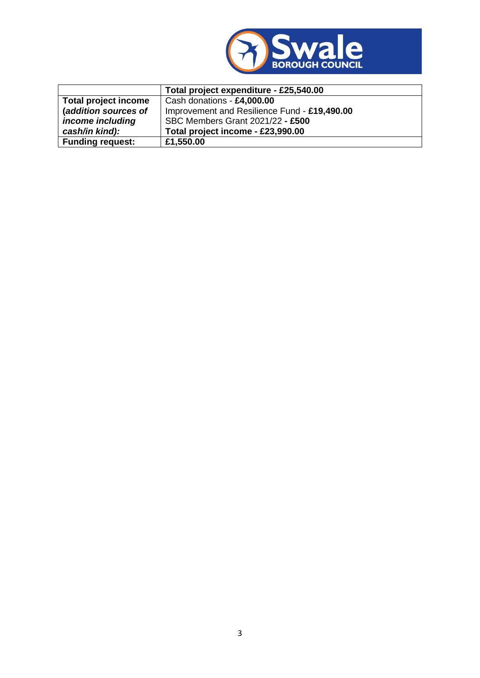

|                         | Total project expenditure - £25,540.00       |
|-------------------------|----------------------------------------------|
| Total project income    | Cash donations - £4,000.00                   |
| (addition sources of    | Improvement and Resilience Fund - £19,490.00 |
| income including        | SBC Members Grant 2021/22 - £500             |
| cash/in kind):          | Total project income - £23,990.00            |
| <b>Funding request:</b> | £1,550.00                                    |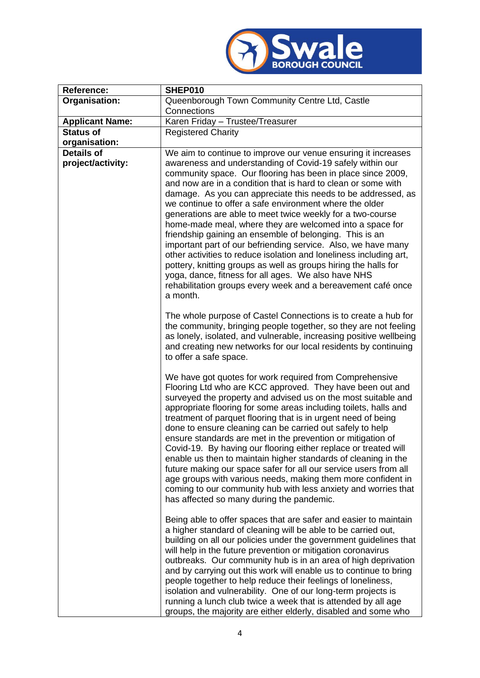

| Reference:                             | SHEP010                                                                                                                                                                                                                                                                                                                                                                                                                                                                                                                                                                                                                                                                                                                                                                                                                                                                                                                 |
|----------------------------------------|-------------------------------------------------------------------------------------------------------------------------------------------------------------------------------------------------------------------------------------------------------------------------------------------------------------------------------------------------------------------------------------------------------------------------------------------------------------------------------------------------------------------------------------------------------------------------------------------------------------------------------------------------------------------------------------------------------------------------------------------------------------------------------------------------------------------------------------------------------------------------------------------------------------------------|
| Organisation:                          | Queenborough Town Community Centre Ltd, Castle                                                                                                                                                                                                                                                                                                                                                                                                                                                                                                                                                                                                                                                                                                                                                                                                                                                                          |
|                                        | Connections                                                                                                                                                                                                                                                                                                                                                                                                                                                                                                                                                                                                                                                                                                                                                                                                                                                                                                             |
| <b>Applicant Name:</b>                 | Karen Friday - Trustee/Treasurer                                                                                                                                                                                                                                                                                                                                                                                                                                                                                                                                                                                                                                                                                                                                                                                                                                                                                        |
| <b>Status of</b>                       | <b>Registered Charity</b>                                                                                                                                                                                                                                                                                                                                                                                                                                                                                                                                                                                                                                                                                                                                                                                                                                                                                               |
| organisation:                          |                                                                                                                                                                                                                                                                                                                                                                                                                                                                                                                                                                                                                                                                                                                                                                                                                                                                                                                         |
| <b>Details of</b><br>project/activity: | We aim to continue to improve our venue ensuring it increases<br>awareness and understanding of Covid-19 safely within our<br>community space. Our flooring has been in place since 2009,<br>and now are in a condition that is hard to clean or some with<br>damage. As you can appreciate this needs to be addressed, as<br>we continue to offer a safe environment where the older<br>generations are able to meet twice weekly for a two-course<br>home-made meal, where they are welcomed into a space for<br>friendship gaining an ensemble of belonging. This is an<br>important part of our befriending service. Also, we have many<br>other activities to reduce isolation and loneliness including art,<br>pottery, knitting groups as well as groups hiring the halls for<br>yoga, dance, fitness for all ages. We also have NHS<br>rehabilitation groups every week and a bereavement café once<br>a month. |
|                                        | The whole purpose of Castel Connections is to create a hub for<br>the community, bringing people together, so they are not feeling<br>as lonely, isolated, and vulnerable, increasing positive wellbeing<br>and creating new networks for our local residents by continuing<br>to offer a safe space.                                                                                                                                                                                                                                                                                                                                                                                                                                                                                                                                                                                                                   |
|                                        | We have got quotes for work required from Comprehensive<br>Flooring Ltd who are KCC approved. They have been out and<br>surveyed the property and advised us on the most suitable and<br>appropriate flooring for some areas including toilets, halls and<br>treatment of parquet flooring that is in urgent need of being<br>done to ensure cleaning can be carried out safely to help<br>ensure standards are met in the prevention or mitigation of<br>Covid-19. By having our flooring either replace or treated will<br>enable us then to maintain higher standards of cleaning in the<br>future making our space safer for all our service users from all<br>age groups with various needs, making them more confident in<br>coming to our community hub with less anxiety and worries that<br>has affected so many during the pandemic.                                                                          |
|                                        | Being able to offer spaces that are safer and easier to maintain<br>a higher standard of cleaning will be able to be carried out,<br>building on all our policies under the government guidelines that<br>will help in the future prevention or mitigation coronavirus<br>outbreaks. Our community hub is in an area of high deprivation<br>and by carrying out this work will enable us to continue to bring<br>people together to help reduce their feelings of loneliness,<br>isolation and vulnerability. One of our long-term projects is<br>running a lunch club twice a week that is attended by all age<br>groups, the majority are either elderly, disabled and some who                                                                                                                                                                                                                                       |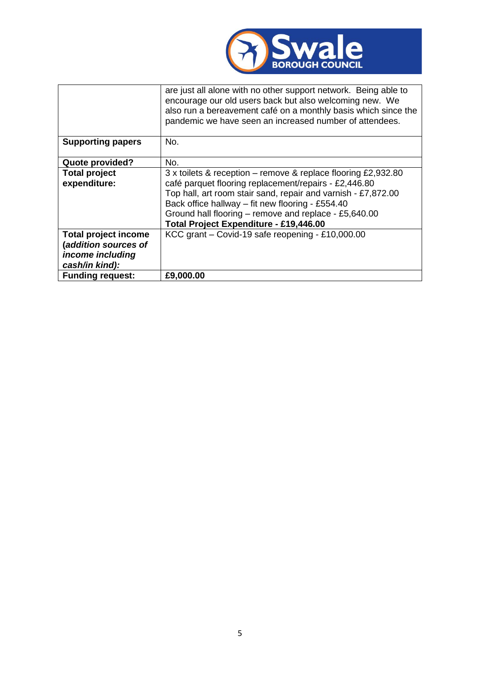

|                                                                                           | are just all alone with no other support network. Being able to<br>encourage our old users back but also welcoming new. We<br>also run a bereavement café on a monthly basis which since the<br>pandemic we have seen an increased number of attendees.                                                                                        |
|-------------------------------------------------------------------------------------------|------------------------------------------------------------------------------------------------------------------------------------------------------------------------------------------------------------------------------------------------------------------------------------------------------------------------------------------------|
| <b>Supporting papers</b>                                                                  | No.                                                                                                                                                                                                                                                                                                                                            |
| Quote provided?                                                                           | No.                                                                                                                                                                                                                                                                                                                                            |
| <b>Total project</b><br>expenditure:                                                      | 3 x toilets & reception – remove & replace flooring £2,932.80<br>café parquet flooring replacement/repairs - £2,446.80<br>Top hall, art room stair sand, repair and varnish - £7,872.00<br>Back office hallway - fit new flooring - £554.40<br>Ground hall flooring – remove and replace - £5,640.00<br>Total Project Expenditure - £19,446.00 |
| <b>Total project income</b><br>(addition sources of<br>income including<br>cash/in kind): | KCC grant - Covid-19 safe reopening - £10,000.00                                                                                                                                                                                                                                                                                               |
| <b>Funding request:</b>                                                                   | £9,000.00                                                                                                                                                                                                                                                                                                                                      |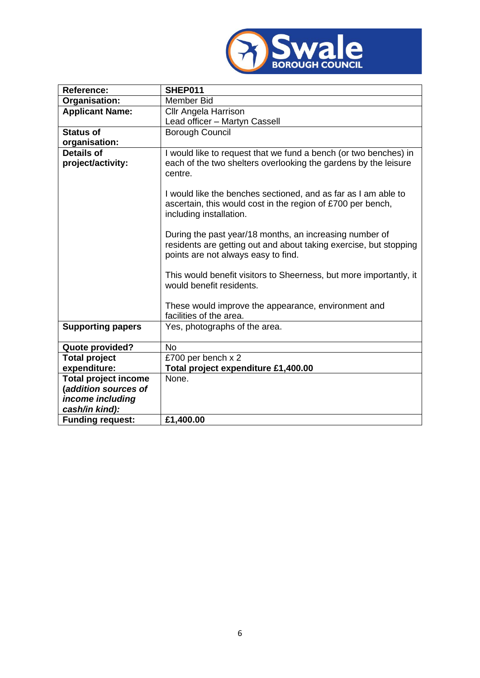

| Reference:                  | SHEP011                                                                                                                                                             |
|-----------------------------|---------------------------------------------------------------------------------------------------------------------------------------------------------------------|
| Organisation:               | <b>Member Bid</b>                                                                                                                                                   |
| <b>Applicant Name:</b>      | <b>Cllr Angela Harrison</b>                                                                                                                                         |
|                             | Lead officer - Martyn Cassell                                                                                                                                       |
| <b>Status of</b>            | <b>Borough Council</b>                                                                                                                                              |
| organisation:               |                                                                                                                                                                     |
| <b>Details of</b>           | I would like to request that we fund a bench (or two benches) in                                                                                                    |
| project/activity:           | each of the two shelters overlooking the gardens by the leisure<br>centre.                                                                                          |
|                             | I would like the benches sectioned, and as far as I am able to<br>ascertain, this would cost in the region of £700 per bench,<br>including installation.            |
|                             | During the past year/18 months, an increasing number of<br>residents are getting out and about taking exercise, but stopping<br>points are not always easy to find. |
|                             | This would benefit visitors to Sheerness, but more importantly, it<br>would benefit residents.                                                                      |
|                             | These would improve the appearance, environment and<br>facilities of the area.                                                                                      |
| <b>Supporting papers</b>    | Yes, photographs of the area.                                                                                                                                       |
| Quote provided?             | <b>No</b>                                                                                                                                                           |
| <b>Total project</b>        | £700 per bench x 2                                                                                                                                                  |
| expenditure:                | Total project expenditure £1,400.00                                                                                                                                 |
| <b>Total project income</b> | None.                                                                                                                                                               |
| (addition sources of        |                                                                                                                                                                     |
| income including            |                                                                                                                                                                     |
| cash/in kind):              |                                                                                                                                                                     |
| <b>Funding request:</b>     | £1,400.00                                                                                                                                                           |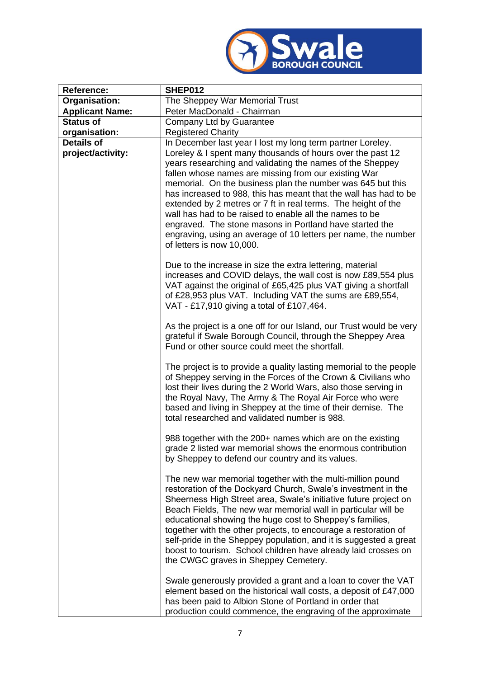

| <b>Reference:</b>                      | <b>SHEP012</b>                                                                                                                                                                                                                                                                                                                                                                                                                                                                                                                                                                 |
|----------------------------------------|--------------------------------------------------------------------------------------------------------------------------------------------------------------------------------------------------------------------------------------------------------------------------------------------------------------------------------------------------------------------------------------------------------------------------------------------------------------------------------------------------------------------------------------------------------------------------------|
| Organisation:                          | The Sheppey War Memorial Trust                                                                                                                                                                                                                                                                                                                                                                                                                                                                                                                                                 |
| <b>Applicant Name:</b>                 | Peter MacDonald - Chairman                                                                                                                                                                                                                                                                                                                                                                                                                                                                                                                                                     |
| <b>Status of</b>                       | Company Ltd by Guarantee                                                                                                                                                                                                                                                                                                                                                                                                                                                                                                                                                       |
| organisation:                          | <b>Registered Charity</b>                                                                                                                                                                                                                                                                                                                                                                                                                                                                                                                                                      |
| <b>Details of</b><br>project/activity: | In December last year I lost my long term partner Loreley.<br>Loreley & I spent many thousands of hours over the past 12<br>years researching and validating the names of the Sheppey<br>fallen whose names are missing from our existing War                                                                                                                                                                                                                                                                                                                                  |
|                                        | memorial. On the business plan the number was 645 but this<br>has increased to 988, this has meant that the wall has had to be<br>extended by 2 metres or 7 ft in real terms. The height of the<br>wall has had to be raised to enable all the names to be<br>engraved. The stone masons in Portland have started the<br>engraving, using an average of 10 letters per name, the number<br>of letters is now 10,000.                                                                                                                                                           |
|                                        | Due to the increase in size the extra lettering, material<br>increases and COVID delays, the wall cost is now £89,554 plus<br>VAT against the original of £65,425 plus VAT giving a shortfall<br>of £28,953 plus VAT. Including VAT the sums are £89,554,<br>VAT - £17,910 giving a total of £107,464.                                                                                                                                                                                                                                                                         |
|                                        | As the project is a one off for our Island, our Trust would be very<br>grateful if Swale Borough Council, through the Sheppey Area<br>Fund or other source could meet the shortfall.                                                                                                                                                                                                                                                                                                                                                                                           |
|                                        | The project is to provide a quality lasting memorial to the people<br>of Sheppey serving in the Forces of the Crown & Civilians who<br>lost their lives during the 2 World Wars, also those serving in<br>the Royal Navy, The Army & The Royal Air Force who were<br>based and living in Sheppey at the time of their demise. The<br>total researched and validated number is 988.                                                                                                                                                                                             |
|                                        | 988 together with the 200+ names which are on the existing<br>grade 2 listed war memorial shows the enormous contribution<br>by Sheppey to defend our country and its values.                                                                                                                                                                                                                                                                                                                                                                                                  |
|                                        | The new war memorial together with the multi-million pound<br>restoration of the Dockyard Church, Swale's investment in the<br>Sheerness High Street area, Swale's initiative future project on<br>Beach Fields, The new war memorial wall in particular will be<br>educational showing the huge cost to Sheppey's families,<br>together with the other projects, to encourage a restoration of<br>self-pride in the Sheppey population, and it is suggested a great<br>boost to tourism. School children have already laid crosses on<br>the CWGC graves in Sheppey Cemetery. |
|                                        | Swale generously provided a grant and a loan to cover the VAT<br>element based on the historical wall costs, a deposit of £47,000<br>has been paid to Albion Stone of Portland in order that<br>production could commence, the engraving of the approximate                                                                                                                                                                                                                                                                                                                    |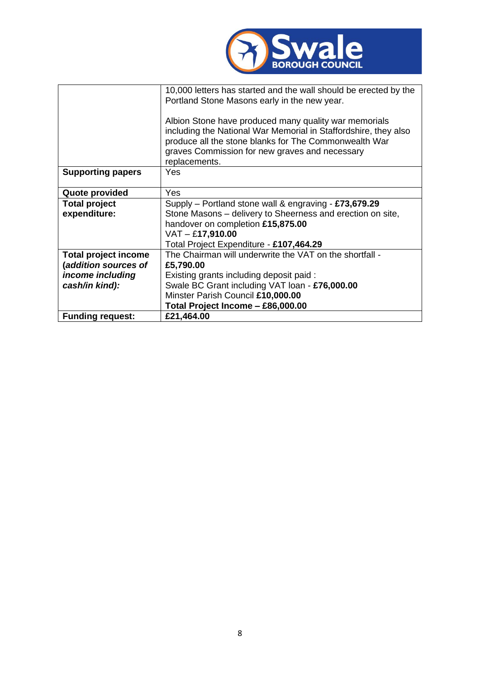

|                             | 10,000 letters has started and the wall should be erected by the<br>Portland Stone Masons early in the new year.                                                                                                                                     |
|-----------------------------|------------------------------------------------------------------------------------------------------------------------------------------------------------------------------------------------------------------------------------------------------|
|                             | Albion Stone have produced many quality war memorials<br>including the National War Memorial in Staffordshire, they also<br>produce all the stone blanks for The Commonwealth War<br>graves Commission for new graves and necessary<br>replacements. |
| <b>Supporting papers</b>    | Yes.                                                                                                                                                                                                                                                 |
| Quote provided              | Yes                                                                                                                                                                                                                                                  |
| <b>Total project</b>        | Supply - Portland stone wall & engraving - £73,679.29                                                                                                                                                                                                |
| expenditure:                | Stone Masons - delivery to Sheerness and erection on site,                                                                                                                                                                                           |
|                             | handover on completion £15,875.00                                                                                                                                                                                                                    |
|                             | $VAT - £17,910.00$                                                                                                                                                                                                                                   |
|                             | Total Project Expenditure - £107,464.29                                                                                                                                                                                                              |
| <b>Total project income</b> | The Chairman will underwrite the VAT on the shortfall -                                                                                                                                                                                              |
| (addition sources of        | £5,790.00                                                                                                                                                                                                                                            |
| income including            | Existing grants including deposit paid:                                                                                                                                                                                                              |
| cash/in kind):              | Swale BC Grant including VAT loan - £76,000.00                                                                                                                                                                                                       |
|                             | Minster Parish Council £10,000.00                                                                                                                                                                                                                    |
|                             | Total Project Income - £86,000.00                                                                                                                                                                                                                    |
| <b>Funding request:</b>     | £21,464.00                                                                                                                                                                                                                                           |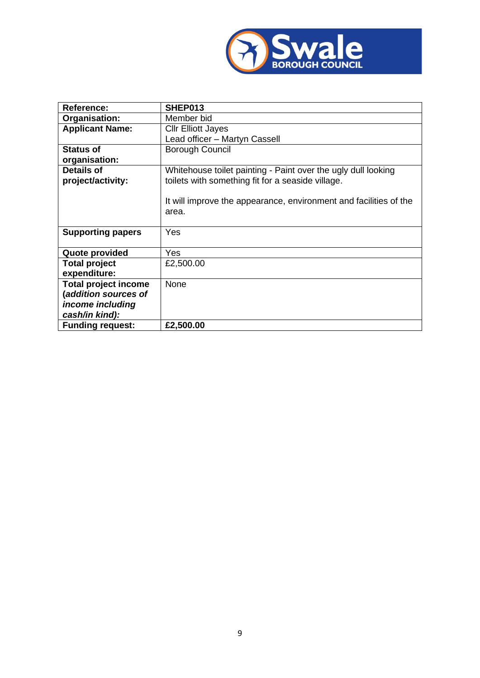

| <b>Reference:</b>           | SHEP013                                                           |
|-----------------------------|-------------------------------------------------------------------|
| Organisation:               | Member bid                                                        |
| <b>Applicant Name:</b>      | <b>Cllr Elliott Jayes</b>                                         |
|                             | Lead officer - Martyn Cassell                                     |
| <b>Status of</b>            | <b>Borough Council</b>                                            |
| organisation:               |                                                                   |
| <b>Details of</b>           | Whitehouse toilet painting - Paint over the ugly dull looking     |
| project/activity:           | toilets with something fit for a seaside village.                 |
|                             |                                                                   |
|                             | It will improve the appearance, environment and facilities of the |
|                             | area.                                                             |
|                             |                                                                   |
| <b>Supporting papers</b>    | Yes                                                               |
|                             |                                                                   |
| Quote provided              | Yes                                                               |
| <b>Total project</b>        | £2,500.00                                                         |
| expenditure:                |                                                                   |
| <b>Total project income</b> | None                                                              |
| (addition sources of        |                                                                   |
| income including            |                                                                   |
| cash/in kind):              |                                                                   |
| <b>Funding request:</b>     | £2,500.00                                                         |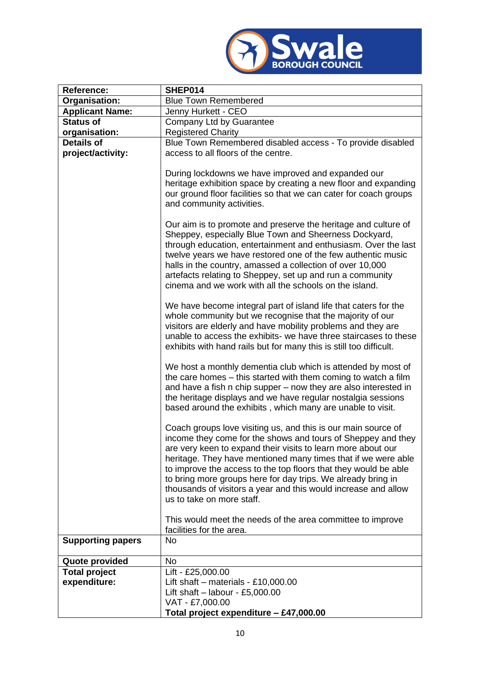

| Reference:                           | SHEP014                                                                                                                                                                                                                                                                                                                                                                                                                                                                                                                                                                                                                                                                                                                                                                                                                                                                                                                                                                                                                                                                                                                                                                                                                 |
|--------------------------------------|-------------------------------------------------------------------------------------------------------------------------------------------------------------------------------------------------------------------------------------------------------------------------------------------------------------------------------------------------------------------------------------------------------------------------------------------------------------------------------------------------------------------------------------------------------------------------------------------------------------------------------------------------------------------------------------------------------------------------------------------------------------------------------------------------------------------------------------------------------------------------------------------------------------------------------------------------------------------------------------------------------------------------------------------------------------------------------------------------------------------------------------------------------------------------------------------------------------------------|
| Organisation:                        | <b>Blue Town Remembered</b>                                                                                                                                                                                                                                                                                                                                                                                                                                                                                                                                                                                                                                                                                                                                                                                                                                                                                                                                                                                                                                                                                                                                                                                             |
| <b>Applicant Name:</b>               | Jenny Hurkett - CEO                                                                                                                                                                                                                                                                                                                                                                                                                                                                                                                                                                                                                                                                                                                                                                                                                                                                                                                                                                                                                                                                                                                                                                                                     |
| <b>Status of</b>                     | Company Ltd by Guarantee                                                                                                                                                                                                                                                                                                                                                                                                                                                                                                                                                                                                                                                                                                                                                                                                                                                                                                                                                                                                                                                                                                                                                                                                |
| organisation:                        | <b>Registered Charity</b>                                                                                                                                                                                                                                                                                                                                                                                                                                                                                                                                                                                                                                                                                                                                                                                                                                                                                                                                                                                                                                                                                                                                                                                               |
| <b>Details of</b>                    | Blue Town Remembered disabled access - To provide disabled                                                                                                                                                                                                                                                                                                                                                                                                                                                                                                                                                                                                                                                                                                                                                                                                                                                                                                                                                                                                                                                                                                                                                              |
| project/activity:                    | access to all floors of the centre.                                                                                                                                                                                                                                                                                                                                                                                                                                                                                                                                                                                                                                                                                                                                                                                                                                                                                                                                                                                                                                                                                                                                                                                     |
|                                      | During lockdowns we have improved and expanded our<br>heritage exhibition space by creating a new floor and expanding<br>our ground floor facilities so that we can cater for coach groups<br>and community activities.<br>Our aim is to promote and preserve the heritage and culture of<br>Sheppey, especially Blue Town and Sheerness Dockyard,<br>through education, entertainment and enthusiasm. Over the last<br>twelve years we have restored one of the few authentic music<br>halls in the country, amassed a collection of over 10,000<br>artefacts relating to Sheppey, set up and run a community<br>cinema and we work with all the schools on the island.<br>We have become integral part of island life that caters for the<br>whole community but we recognise that the majority of our<br>visitors are elderly and have mobility problems and they are<br>unable to access the exhibits- we have three staircases to these<br>exhibits with hand rails but for many this is still too difficult.<br>We host a monthly dementia club which is attended by most of<br>the care homes – this started with them coming to watch a film<br>and have a fish n chip supper – now they are also interested in |
|                                      | the heritage displays and we have regular nostalgia sessions<br>based around the exhibits, which many are unable to visit.<br>Coach groups love visiting us, and this is our main source of<br>income they come for the shows and tours of Sheppey and they<br>are very keen to expand their visits to learn more about our<br>heritage. They have mentioned many times that if we were able<br>to improve the access to the top floors that they would be able<br>to bring more groups here for day trips. We already bring in<br>thousands of visitors a year and this would increase and allow<br>us to take on more staff.<br>This would meet the needs of the area committee to improve                                                                                                                                                                                                                                                                                                                                                                                                                                                                                                                            |
| <b>Supporting papers</b>             | facilities for the area.<br><b>No</b>                                                                                                                                                                                                                                                                                                                                                                                                                                                                                                                                                                                                                                                                                                                                                                                                                                                                                                                                                                                                                                                                                                                                                                                   |
|                                      |                                                                                                                                                                                                                                                                                                                                                                                                                                                                                                                                                                                                                                                                                                                                                                                                                                                                                                                                                                                                                                                                                                                                                                                                                         |
| Quote provided                       | <b>No</b>                                                                                                                                                                                                                                                                                                                                                                                                                                                                                                                                                                                                                                                                                                                                                                                                                                                                                                                                                                                                                                                                                                                                                                                                               |
| <b>Total project</b><br>expenditure: | Lift - £25,000.00<br>Lift shaft $-$ materials - £10,000.00<br>Lift shaft $-$ labour - £5,000.00<br>VAT - £7,000.00<br>Total project expenditure - £47,000.00                                                                                                                                                                                                                                                                                                                                                                                                                                                                                                                                                                                                                                                                                                                                                                                                                                                                                                                                                                                                                                                            |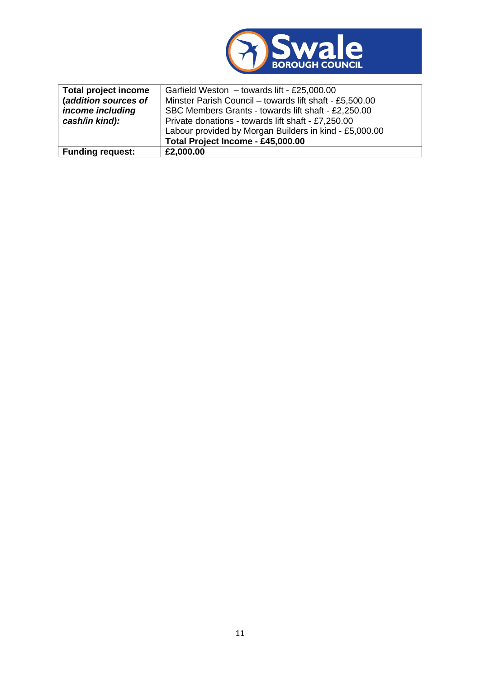

| <b>Total project income</b> | Garfield Weston - towards lift - £25,000.00             |
|-----------------------------|---------------------------------------------------------|
| (addition sources of        | Minster Parish Council - towards lift shaft - £5,500.00 |
| income including            | SBC Members Grants - towards lift shaft - £2,250.00     |
| cash/in kind):              | Private donations - towards lift shaft - £7,250.00      |
|                             | Labour provided by Morgan Builders in kind - £5,000.00  |
|                             | Total Project Income - £45,000.00                       |
| <b>Funding request:</b>     | £2,000.00                                               |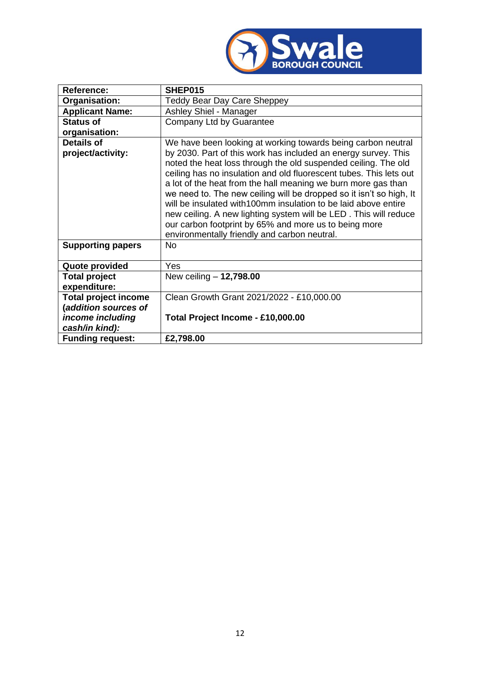

| <b>Reference:</b>                      | SHEP015                                                                                                                                                                                                                                                                                                                                                                                                                                                                                                                                                                                                                                                        |
|----------------------------------------|----------------------------------------------------------------------------------------------------------------------------------------------------------------------------------------------------------------------------------------------------------------------------------------------------------------------------------------------------------------------------------------------------------------------------------------------------------------------------------------------------------------------------------------------------------------------------------------------------------------------------------------------------------------|
| Organisation:                          | <b>Teddy Bear Day Care Sheppey</b>                                                                                                                                                                                                                                                                                                                                                                                                                                                                                                                                                                                                                             |
| <b>Applicant Name:</b>                 | Ashley Shiel - Manager                                                                                                                                                                                                                                                                                                                                                                                                                                                                                                                                                                                                                                         |
| <b>Status of</b>                       | Company Ltd by Guarantee                                                                                                                                                                                                                                                                                                                                                                                                                                                                                                                                                                                                                                       |
| organisation:                          |                                                                                                                                                                                                                                                                                                                                                                                                                                                                                                                                                                                                                                                                |
| <b>Details of</b><br>project/activity: | We have been looking at working towards being carbon neutral<br>by 2030. Part of this work has included an energy survey. This<br>noted the heat loss through the old suspended ceiling. The old<br>ceiling has no insulation and old fluorescent tubes. This lets out<br>a lot of the heat from the hall meaning we burn more gas than<br>we need to. The new ceiling will be dropped so it isn't so high, It<br>will be insulated with 100mm insulation to be laid above entire<br>new ceiling. A new lighting system will be LED. This will reduce<br>our carbon footprint by 65% and more us to being more<br>environmentally friendly and carbon neutral. |
| <b>Supporting papers</b>               | <b>No</b>                                                                                                                                                                                                                                                                                                                                                                                                                                                                                                                                                                                                                                                      |
| Quote provided                         | Yes                                                                                                                                                                                                                                                                                                                                                                                                                                                                                                                                                                                                                                                            |
| <b>Total project</b>                   | New ceiling $- 12,798.00$                                                                                                                                                                                                                                                                                                                                                                                                                                                                                                                                                                                                                                      |
| expenditure:                           |                                                                                                                                                                                                                                                                                                                                                                                                                                                                                                                                                                                                                                                                |
| <b>Total project income</b>            | Clean Growth Grant 2021/2022 - £10,000.00                                                                                                                                                                                                                                                                                                                                                                                                                                                                                                                                                                                                                      |
| (addition sources of                   |                                                                                                                                                                                                                                                                                                                                                                                                                                                                                                                                                                                                                                                                |
| income including                       | Total Project Income - £10,000.00                                                                                                                                                                                                                                                                                                                                                                                                                                                                                                                                                                                                                              |
| cash/in kind):                         |                                                                                                                                                                                                                                                                                                                                                                                                                                                                                                                                                                                                                                                                |
| <b>Funding request:</b>                | £2,798.00                                                                                                                                                                                                                                                                                                                                                                                                                                                                                                                                                                                                                                                      |